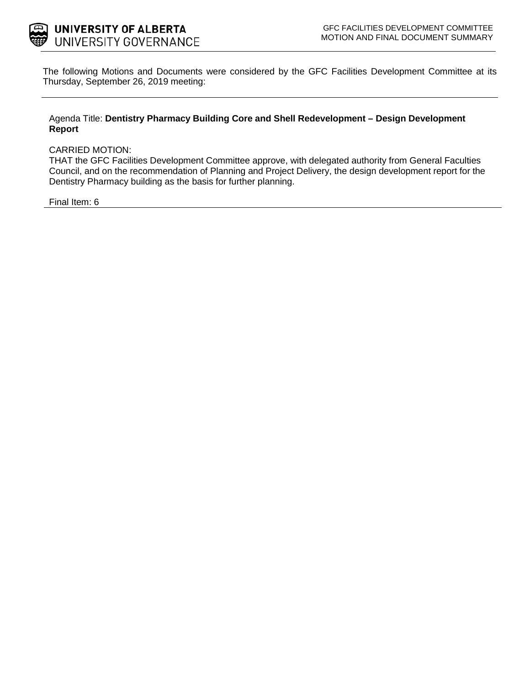

The following Motions and Documents were considered by the GFC Facilities Development Committee at its Thursday, September 26, 2019 meeting:

### Agenda Title: **Dentistry Pharmacy Building Core and Shell Redevelopment – Design Development Report**

#### CARRIED MOTION:

THAT the GFC Facilities Development Committee approve, with delegated authority from General Faculties Council, and on the recommendation of Planning and Project Delivery, the design development report for the Dentistry Pharmacy building as the basis for further planning.

### Final Item: 6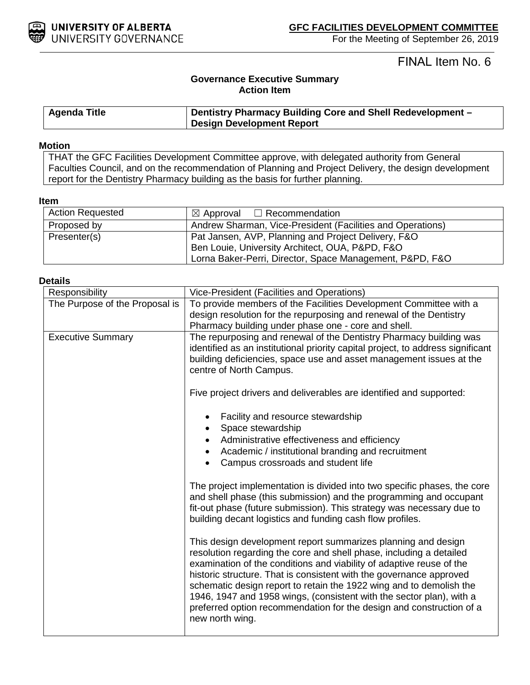

For the Meeting of September 26, 2019

FINAL Item No. 6

# **Governance Executive Summary Action Item**

| <b>Agenda Title</b> | Dentistry Pharmacy Building Core and Shell Redevelopment - |  |
|---------------------|------------------------------------------------------------|--|
|                     | <b>Design Development Report</b>                           |  |

#### **Motion**

THAT the GFC Facilities Development Committee approve, with delegated authority from General Faculties Council, and on the recommendation of Planning and Project Delivery, the design development report for the Dentistry Pharmacy building as the basis for further planning.

### **Item**

| <b>Action Requested</b> | $\boxtimes$ Approval $\Box$ Recommendation                 |  |
|-------------------------|------------------------------------------------------------|--|
| Proposed by             | Andrew Sharman, Vice-President (Facilities and Operations) |  |
| Presenter(s)            | Pat Jansen, AVP, Planning and Project Delivery, F&O        |  |
|                         | Ben Louie, University Architect, OUA, P&PD, F&O            |  |
|                         | Lorna Baker-Perri, Director, Space Management, P&PD, F&O   |  |

### **Details**

| Responsibility                 | Vice-President (Facilities and Operations)                                                                                                                                                                                                                                                                                                                                                                                                                                                                                    |  |  |
|--------------------------------|-------------------------------------------------------------------------------------------------------------------------------------------------------------------------------------------------------------------------------------------------------------------------------------------------------------------------------------------------------------------------------------------------------------------------------------------------------------------------------------------------------------------------------|--|--|
| The Purpose of the Proposal is | To provide members of the Facilities Development Committee with a                                                                                                                                                                                                                                                                                                                                                                                                                                                             |  |  |
|                                | design resolution for the repurposing and renewal of the Dentistry<br>Pharmacy building under phase one - core and shell.                                                                                                                                                                                                                                                                                                                                                                                                     |  |  |
| <b>Executive Summary</b>       | The repurposing and renewal of the Dentistry Pharmacy building was<br>identified as an institutional priority capital project, to address significant<br>building deficiencies, space use and asset management issues at the<br>centre of North Campus.                                                                                                                                                                                                                                                                       |  |  |
|                                | Five project drivers and deliverables are identified and supported:                                                                                                                                                                                                                                                                                                                                                                                                                                                           |  |  |
|                                | Facility and resource stewardship<br>Space stewardship<br>Administrative effectiveness and efficiency<br>Academic / institutional branding and recruitment<br>$\bullet$<br>Campus crossroads and student life<br>The project implementation is divided into two specific phases, the core<br>and shell phase (this submission) and the programming and occupant<br>fit-out phase (future submission). This strategy was necessary due to<br>building decant logistics and funding cash flow profiles.                         |  |  |
|                                |                                                                                                                                                                                                                                                                                                                                                                                                                                                                                                                               |  |  |
|                                | This design development report summarizes planning and design<br>resolution regarding the core and shell phase, including a detailed<br>examination of the conditions and viability of adaptive reuse of the<br>historic structure. That is consistent with the governance approved<br>schematic design report to retain the 1922 wing and to demolish the<br>1946, 1947 and 1958 wings, (consistent with the sector plan), with a<br>preferred option recommendation for the design and construction of a<br>new north wing. |  |  |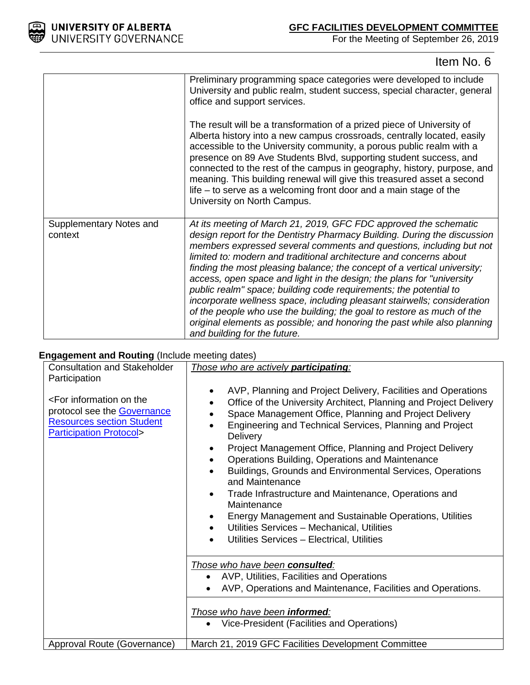

# **GFC FACILITIES DEVELOPMENT COMMITTEE**

For the Meeting of September 26, 2019

# Item No. 6

|                                    | Preliminary programming space categories were developed to include<br>University and public realm, student success, special character, general<br>office and support services.                                                                                                                                                                                                                                                                                                                                                                                                                                                                                                                                                                                                        |
|------------------------------------|---------------------------------------------------------------------------------------------------------------------------------------------------------------------------------------------------------------------------------------------------------------------------------------------------------------------------------------------------------------------------------------------------------------------------------------------------------------------------------------------------------------------------------------------------------------------------------------------------------------------------------------------------------------------------------------------------------------------------------------------------------------------------------------|
|                                    | The result will be a transformation of a prized piece of University of<br>Alberta history into a new campus crossroads, centrally located, easily<br>accessible to the University community, a porous public realm with a<br>presence on 89 Ave Students Blvd, supporting student success, and<br>connected to the rest of the campus in geography, history, purpose, and<br>meaning. This building renewal will give this treasured asset a second<br>life $-$ to serve as a welcoming front door and a main stage of the<br>University on North Campus.                                                                                                                                                                                                                             |
| Supplementary Notes and<br>context | At its meeting of March 21, 2019, GFC FDC approved the schematic<br>design report for the Dentistry Pharmacy Building. During the discussion<br>members expressed several comments and questions, including but not<br>limited to: modern and traditional architecture and concerns about<br>finding the most pleasing balance; the concept of a vertical university;<br>access, open space and light in the design; the plans for "university<br>public realm" space; building code requirements; the potential to<br>incorporate wellness space, including pleasant stairwells; consideration<br>of the people who use the building; the goal to restore as much of the<br>original elements as possible; and honoring the past while also planning<br>and building for the future. |

# **Engagement and Routing** (Include meeting dates)

| <b>Consultation and Stakeholder</b>                                                                                                                                      | Those who are actively participating:                                                                                                                                                                                                                                                                                                                                                                                                                                                                                                                                                                                                                                                                                                                                                                                      |  |  |
|--------------------------------------------------------------------------------------------------------------------------------------------------------------------------|----------------------------------------------------------------------------------------------------------------------------------------------------------------------------------------------------------------------------------------------------------------------------------------------------------------------------------------------------------------------------------------------------------------------------------------------------------------------------------------------------------------------------------------------------------------------------------------------------------------------------------------------------------------------------------------------------------------------------------------------------------------------------------------------------------------------------|--|--|
| Participation<br><for information="" on="" the<br="">protocol see the <b>Governance</b><br/><b>Resources section Student</b><br/><b>Participation Protocol&gt;</b></for> | AVP, Planning and Project Delivery, Facilities and Operations<br>٠<br>Office of the University Architect, Planning and Project Delivery<br>$\bullet$<br>Space Management Office, Planning and Project Delivery<br>$\bullet$<br>Engineering and Technical Services, Planning and Project<br>$\bullet$<br><b>Delivery</b><br>Project Management Office, Planning and Project Delivery<br>٠<br>Operations Building, Operations and Maintenance<br>$\bullet$<br>Buildings, Grounds and Environmental Services, Operations<br>and Maintenance<br>Trade Infrastructure and Maintenance, Operations and<br>$\bullet$<br>Maintenance<br>Energy Management and Sustainable Operations, Utilities<br>$\bullet$<br>Utilities Services - Mechanical, Utilities<br>$\bullet$<br>Utilities Services - Electrical, Utilities<br>$\bullet$ |  |  |
|                                                                                                                                                                          | Those who have been consulted:<br>AVP, Utilities, Facilities and Operations<br>AVP, Operations and Maintenance, Facilities and Operations.                                                                                                                                                                                                                                                                                                                                                                                                                                                                                                                                                                                                                                                                                 |  |  |
|                                                                                                                                                                          | Those who have been informed:<br>Vice-President (Facilities and Operations)                                                                                                                                                                                                                                                                                                                                                                                                                                                                                                                                                                                                                                                                                                                                                |  |  |
| Approval Route (Governance)                                                                                                                                              | March 21, 2019 GFC Facilities Development Committee                                                                                                                                                                                                                                                                                                                                                                                                                                                                                                                                                                                                                                                                                                                                                                        |  |  |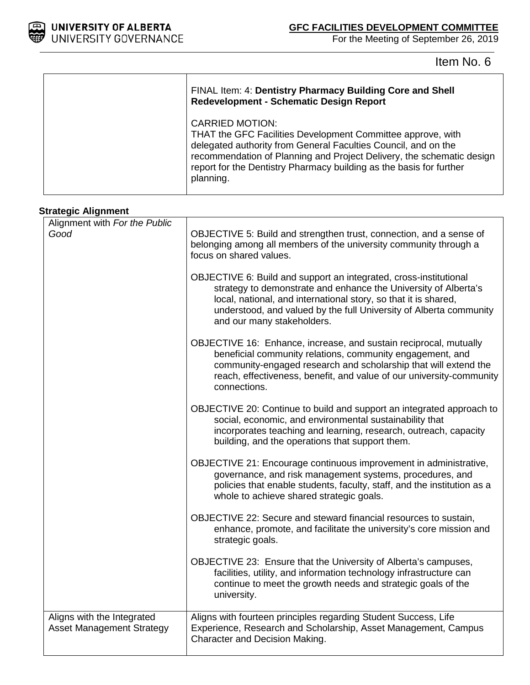

 $\Gamma$ 

Τ

For the Meeting of September 26, 2019

Item No. 6

| FINAL Item: 4: Dentistry Pharmacy Building Core and Shell<br><b>Redevelopment - Schematic Design Report</b>                                                                                                                                                                                                          |  |
|----------------------------------------------------------------------------------------------------------------------------------------------------------------------------------------------------------------------------------------------------------------------------------------------------------------------|--|
| <b>CARRIED MOTION:</b><br>THAT the GFC Facilities Development Committee approve, with<br>delegated authority from General Faculties Council, and on the<br>recommendation of Planning and Project Delivery, the schematic design<br>report for the Dentistry Pharmacy building as the basis for further<br>planning. |  |

## **Strategic Alignment**

| Alignment with For the Public                                  |                                                                                                                                                                                                                                                                                                             |  |
|----------------------------------------------------------------|-------------------------------------------------------------------------------------------------------------------------------------------------------------------------------------------------------------------------------------------------------------------------------------------------------------|--|
| Good                                                           | OBJECTIVE 5: Build and strengthen trust, connection, and a sense of<br>belonging among all members of the university community through a<br>focus on shared values.                                                                                                                                         |  |
|                                                                | OBJECTIVE 6: Build and support an integrated, cross-institutional<br>strategy to demonstrate and enhance the University of Alberta's<br>local, national, and international story, so that it is shared,<br>understood, and valued by the full University of Alberta community<br>and our many stakeholders. |  |
|                                                                | OBJECTIVE 16: Enhance, increase, and sustain reciprocal, mutually<br>beneficial community relations, community engagement, and<br>community-engaged research and scholarship that will extend the<br>reach, effectiveness, benefit, and value of our university-community<br>connections.                   |  |
|                                                                | OBJECTIVE 20: Continue to build and support an integrated approach to<br>social, economic, and environmental sustainability that<br>incorporates teaching and learning, research, outreach, capacity<br>building, and the operations that support them.                                                     |  |
|                                                                | OBJECTIVE 21: Encourage continuous improvement in administrative,<br>governance, and risk management systems, procedures, and<br>policies that enable students, faculty, staff, and the institution as a<br>whole to achieve shared strategic goals.                                                        |  |
|                                                                | OBJECTIVE 22: Secure and steward financial resources to sustain,<br>enhance, promote, and facilitate the university's core mission and<br>strategic goals.                                                                                                                                                  |  |
|                                                                | OBJECTIVE 23: Ensure that the University of Alberta's campuses,<br>facilities, utility, and information technology infrastructure can<br>continue to meet the growth needs and strategic goals of the<br>university.                                                                                        |  |
| Aligns with the Integrated<br><b>Asset Management Strategy</b> | Aligns with fourteen principles regarding Student Success, Life<br>Experience, Research and Scholarship, Asset Management, Campus<br>Character and Decision Making.                                                                                                                                         |  |